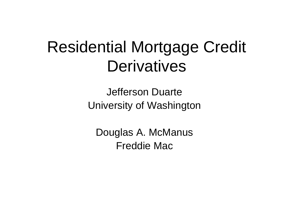## Residential Mortgage Credit **Derivatives**

Jefferson DuarteUniversity of Washington

Douglas A. McManus Freddie Mac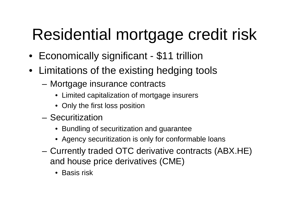# Residential mortgage credit risk

- Economically significant \$11 trillion
- Limitations of the existing hedging tools
	- Mortgage insurance contracts
		- Limited capitalization of mortgage insurers
		- Only the first loss position
	- Securitization
		- Bundling of securitization and guarantee
		- Agency securitization is only for conformable loans
	- – Currently traded OTC derivative contracts (ABX.HE) and house price derivatives (CME)
		- Basis risk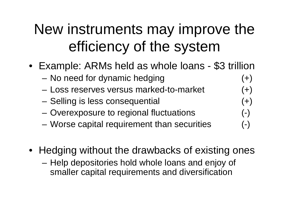#### New instruments may improve the efficiency of the system

- Example: ARMs held as whole loans \$3 trillion
	- No need for dynamic hedging (+)
	- Loss reserves versus marked-to-market (+)
	- Selling is less consequential (+)
	- –Overexposure to regional fluctuations (-)
	- –Worse capital requirement than securities (-)
- Hedging without the drawbacks of existing ones
	- Help depositories hold whole loans and enjoy of smaller capital requirements and diversification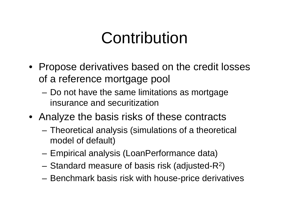## Contribution

- Propose derivatives based on the credit losses of a reference mortgage pool
	- Do not have the same limitations as mortgage insurance and securitization
- Analyze the basis risks of these contracts
	- – Theoretical analysis (simulations of a theoretical model of default)
	- Empirical analysis (LoanPerformance data)
	- Standard measure of basis risk (adjusted-R2)
	- Benchmark basis risk with house-price derivatives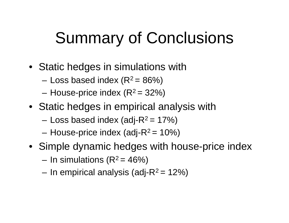## Summary of Conclusions

- Static hedges in simulations with
	- –Loss based index  $(R^2 = 86\%)$
	- –House-price index  $(R^2 = 32%)$
- Static hedges in empirical analysis with
	- Loss based index (adj- $R^2$  = 17%)
	- House-price index (adj- $R^2$  = 10%)
- Simple dynamic hedges with house-price index
	- In simulations  $(R^2 = 46%)$
	- In empirical analysis (adj- $R^2$  = 12%)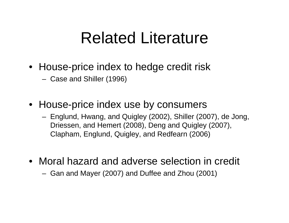## Related Literature

- House-price index to hedge credit risk
	- Case and Shiller (1996)
- House-price index use by consumers
	- Englund, Hwang, and Quigley (2002), Shiller (2007), de Jong, Driessen, and Hemert (2008), Deng and Quigley (2007), Clapham, Englund, Quigley, and Redfearn (2006)
- Moral hazard and adverse selection in credit
	- Gan and Mayer (2007) and Duffee and Zhou (2001)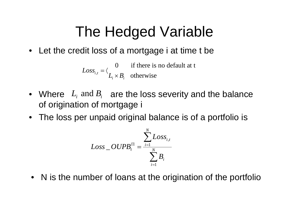#### The Hedged Variable

• Let the credit loss of a mortgage i at time t be

, 0 if there is no default at t  $Loss_{i,t} = \langle L_i \times B_i \text{ otherwise} \rangle$ 

- $L_i$  and  $B_i$ • Where  $L_i$  and  $B_i$  are the loss severity and the balance of origination of mortgage i
- The loss per unpaid original balance is of a portfolio is

$$
Loss\_OUPB_{t}^{\Pi} = \frac{\sum_{i=1}^{N}Loss_{i,t}}{\sum_{i=1}^{N} B_{i}}
$$

• N is the number of loans at the origination of the portfolio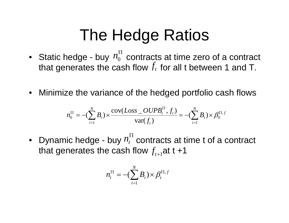## The Hedge Ratios

- Static hedge buy  $n_0^+$  contracts at time zero of a contract that generates the cash flow  $f_t$  for all t between 1 and T. *n* Π
- Minimize the variance of the hedged portfolio cash flows

$$
n_0^{\Pi} = -(\sum_{i=1}^{N} B_i) \times \frac{\text{cov}(Loss\_OUPB_i^{\Pi}, f_t)}{\text{var}(f_t)} = -(\sum_{i=1}^{N} B_i) \times \beta_0^{\Pi, f}
$$

• Dynamic hedge - buy  $n_t^+$  contracts at time t of a contract that generates the cash flow  $f_{_{t+1}}$ at t +1 Π

$$
n_t^{\Pi} = -(\sum_{i=1}^N B_i) \times \beta_t^{\Pi, f}
$$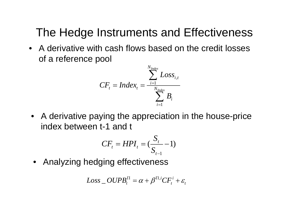#### The Hedge Instruments and Effectiveness

• A derivative with cash flows based on the credit losses of a reference pool

$$
CF_{t} = Index_{t} = \frac{\sum_{i=1}^{N_{Index}} Loss_{i,t}}{\sum_{i=1}^{N_{Index}} B_{i}}
$$

• A derivative paying the appreciation in the house-price index between t-1 and t

$$
CF_{t} = HPI_{t} = (\frac{S_{t}}{S_{t-1}} - 1)
$$

•Analyzing hedging effectiveness

$$
Loss\_OUPB_t^{\Pi} = \alpha + \beta^{\Pi,i} CF_i^i + \varepsilon_t
$$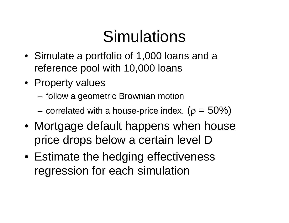# **Simulations**

- Simulate a portfolio of 1,000 loans and a reference pool with 10,000 loans
- Property values
	- follow a geometric Brownian motion
	- correlated with a house-price index. ( $\rho = 50\%)$
- Mortgage default happens when house price drops below a certain level D
- Estimate the hedging effectiveness regression for each simulation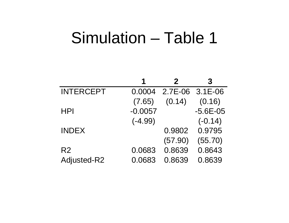### Simulation – Table 1

|                  |           |                 | 3            |
|------------------|-----------|-----------------|--------------|
| <b>INTERCEPT</b> | 0.0004    | 2.7E-06 3.1E-06 |              |
|                  | (7.65)    | (0.14)          | (0.16)       |
| <b>HPI</b>       | $-0.0057$ |                 | $-5.6E - 05$ |
|                  | $(-4.99)$ |                 | $(-0.14)$    |
| <b>INDEX</b>     |           | 0.9802          | 0.9795       |
|                  |           | (57.90)         | (55.70)      |
| R <sub>2</sub>   | 0.0683    | 0.8639          | 0.8643       |
| Adjusted-R2      | 0.0683    | 0.8639          | 0.8639       |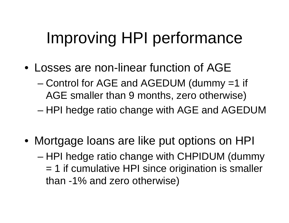# Improving HPI performance

- Losses are non-linear function of AGE
	- Control for AGE and AGEDUM (dummy =1 if AGE smaller than 9 months, zero otherwise)
	- –HPI hedge ratio change with AGE and AGEDUM
- Mortgage loans are like put options on HPI – HPI hedge ratio change with CHPIDUM (dummy = 1 if cumulative HPI since origination is smaller than -1% and zero otherwise)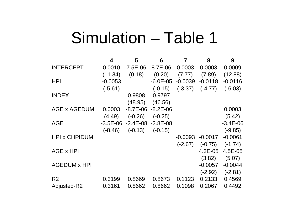## Simulation – Table 1

|                      | 4            | 5         | 6                        | 7         | 8         | 9            |
|----------------------|--------------|-----------|--------------------------|-----------|-----------|--------------|
| <b>INTERCEPT</b>     | 0.0010       | 7.5E-06   | 8.7E-06                  | 0.0003    | 0.0003    | 0.0009       |
|                      | (11.34)      | (0.18)    | (0.20)                   | (7.77)    | (7.89)    | (12.88)      |
| <b>HPI</b>           | $-0.0053$    |           | $-6.0E - 05$             | $-0.0039$ | $-0.0118$ | $-0.0116$    |
|                      | $(-5.61)$    |           | $(-0.15)$                | $(-3.37)$ | $(-4.77)$ | $(-6.03)$    |
| <b>INDEX</b>         |              | 0.9808    | 0.9797                   |           |           |              |
|                      |              | (48.95)   | (46.56)                  |           |           |              |
| AGE x AGEDUM         | 0.0003       |           | $-8.7E - 06 - 8.2E - 06$ |           |           | 0.0003       |
|                      | (4.49)       | $(-0.26)$ | $(-0.25)$                |           |           | (5.42)       |
| <b>AGE</b>           | $-3.5E - 06$ |           | $-2.4E-08 -2.8E-08$      |           |           | $-3.4E - 06$ |
|                      | $(-8.46)$    | $(-0.13)$ | $(-0.15)$                |           |           | $(-9.85)$    |
| <b>HPI x CHPIDUM</b> |              |           |                          | $-0.0093$ | $-0.0017$ | $-0.0061$    |
|                      |              |           |                          | $(-2.67)$ | $(-0.75)$ | $(-1.74)$    |
| AGE x HPI            |              |           |                          |           | 4.3E-05   | 4.5E-05      |
|                      |              |           |                          |           | (3.82)    | (5.07)       |
| <b>AGEDUM x HPI</b>  |              |           |                          |           | $-0.0057$ | $-0.0044$    |
|                      |              |           |                          |           | $(-2.92)$ | $(-2.81)$    |
| R <sub>2</sub>       | 0.3199       | 0.8669    | 0.8673                   | 0.1123    | 0.2133    | 0.4569       |
| Adjusted-R2          | 0.3161       | 0.8662    | 0.8662                   | 0.1098    | 0.2067    | 0.4492       |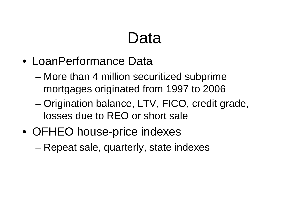# Data

- LoanPerformance Data
	- More than 4 million securitized subprime mortgages originated from 1997 to 2006
	- – Origination balance, LTV, FICO, credit grade, losses due to REO or short sale
- OFHEO house-price indexes
	- –Repeat sale, quarterly, state indexes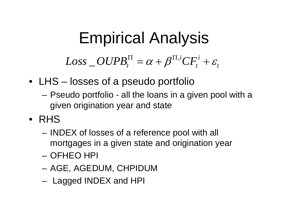# Empirical Analysis

$$
Loss\_OUPB_t^{\Pi} = \alpha + \beta^{\Pi,i} CF_i^i + \varepsilon_t
$$

- LHS losses of a pseudo portfolio
	- Pseudo portfolio all the loans in a given pool with a given origination year and state
- RHS
	- – INDEX of losses of a reference pool with all mortgages in a given state and origination year
	- OFHEO HPI
	- AGE, AGEDUM, CHPIDUM
	- Lagged INDEX and HPI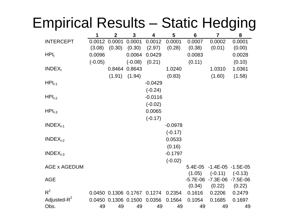#### Empirical Results – Static Hedging

|                         | 1         | $\overline{2}$              | 3             | 4         | 5                   | 6          | 7                        | 8            |
|-------------------------|-----------|-----------------------------|---------------|-----------|---------------------|------------|--------------------------|--------------|
| <b>INTERCEPT</b>        |           | 0.0012 0.0001               | 0.0001        | 0.0012    | 0.0001              | 0.0007     | 0.0002                   | 0.0001       |
|                         | (3.08)    | (0.30)                      | (0.30)        | (2.97)    | (0.28)              | (0.38)     | (0.01)                   | (0.00)       |
| $HPI_t$                 | 0.0096    |                             | 0.0064        | 0.0429    |                     | 0.0083     |                          | 0.0028       |
|                         | $(-0.05)$ |                             | $(-0.08)$     | (0.21)    |                     | (0.11)     |                          | (0.10)       |
| $INDEX_t$               |           |                             | 0.8464 0.8643 |           | 1.0240              |            | 1.0310                   | 1.0361       |
|                         |           | (1.91)                      | (1.94)        |           | (0.83)              |            | (1.60)                   | (1.58)       |
| $HPI_{t-1}$             |           |                             |               | $-0.0429$ |                     |            |                          |              |
|                         |           |                             |               | $(-0.24)$ |                     |            |                          |              |
| $HPI_{t-2}$             |           |                             |               | $-0.0116$ |                     |            |                          |              |
|                         |           |                             |               | $(-0.02)$ |                     |            |                          |              |
| $HPI_{t-3}$             |           |                             |               | 0.0065    |                     |            |                          |              |
|                         |           |                             |               | $(-0.17)$ |                     |            |                          |              |
| $INDEX_{t-1}$           |           |                             |               |           | $-0.0978$           |            |                          |              |
|                         |           |                             |               |           | $(-0.17)$           |            |                          |              |
| $INDEX_{t-2}$           |           |                             |               |           | 0.0533              |            |                          |              |
|                         |           |                             |               |           |                     |            |                          |              |
| $INDEX_{t-3}$           |           |                             |               |           | (0.16)<br>$-0.1797$ |            |                          |              |
|                         |           |                             |               |           |                     |            |                          |              |
| <b>AGE x AGEDUM</b>     |           |                             |               |           | $(-0.02)$           | 5.4E-05    | $-1.4E - 05 - 1.5E - 05$ |              |
|                         |           |                             |               |           |                     | (1.05)     | $(-0.11)$                | $(-0.13)$    |
| <b>AGE</b>              |           |                             |               |           |                     | $-5.7E-06$ | $-7.3E - 06$             | $-7.5E - 06$ |
|                         |           |                             |               |           |                     | (0.34)     | (0.22)                   | (0.22)       |
| $R^2$                   |           | 0.0450 0.1306 0.1767 0.1274 |               |           | 0.2354              | 0.1616     | 0.2206                   | 0.2479       |
| Adjusted-R <sup>2</sup> |           | 0.0450 0.1306 0.1500        |               | 0.0356    | 0.1564              | 0.1054     | 0.1685                   | 0.1697       |
| Obs.                    | 49        | 49                          | 49            | 49        | 49                  | 49         | 49                       | 49           |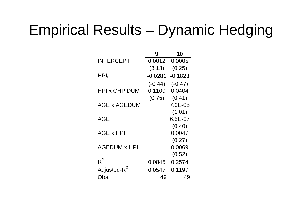#### Empirical Results – Dynamic Hedging

|                         | 9         | 10        |
|-------------------------|-----------|-----------|
| <b>INTERCEPT</b>        | 0.0012    | 0.0005    |
|                         | (3.13)    | (0.25)    |
| ${\sf HPI}_{\sf t}$     | $-0.0281$ | $-0.1823$ |
|                         | $(-0.44)$ | $(-0.47)$ |
| HPI x CHPIDUM           | 0.1109    | 0.0404    |
|                         | (0.75)    | (0.41)    |
| AGE x AGEDUM            |           | 7.0E-05   |
|                         |           | (1.01)    |
| AGE                     |           | 6.5E-07   |
|                         |           | (0.40)    |
| AGE x HPI               |           | 0.0047    |
|                         |           | (0.27)    |
| <b>AGEDUM x HPI</b>     |           | 0.0069    |
|                         |           | (0.52)    |
| $R^2$                   | 0.0845    | 0.2574    |
| Adjusted-R <sup>2</sup> | 0.0547    | 0.1197    |
| Obs.                    | 49        | 49        |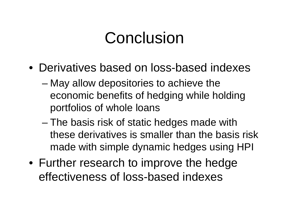## Conclusion

- Derivatives based on loss-based indexes
	- May allow depositories to achieve the economic benefits of hedging while holding portfolios of whole loans
	- – The basis risk of static hedges made with these derivatives is smaller than the basis risk made with simple dynamic hedges using HPI
- Further research to improve the hedge effectiveness of loss-based indexes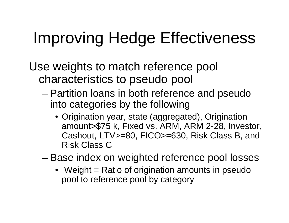# Improving Hedge Effectiveness

Use weights to match reference pool characteristics to pseudo pool

- – Partition loans in both reference and pseudo into categories by the following
	- Origination year, state (aggregated), Origination amount>\$75 k, Fixed vs. ARM, ARM 2-28, Investor, Cashout, LTV>=80, FICO>=630, Risk Class B, and Risk Class C
- – Base index on weighted reference pool losses
	- Weight = Ratio of origination amounts in pseudo pool to reference pool by category